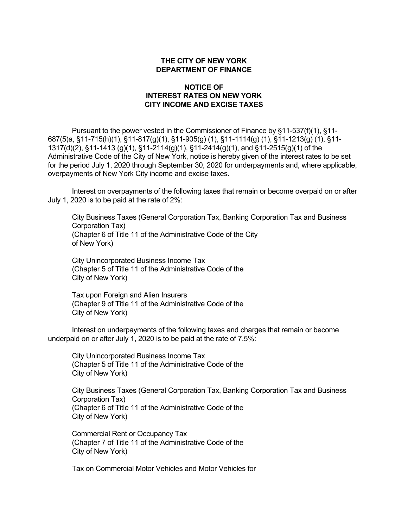## **THE CITY OF NEW YORK DEPARTMENT OF FINANCE**

## **NOTICE OF INTEREST RATES ON NEW YORK CITY INCOME AND EXCISE TAXES**

Pursuant to the power vested in the Commissioner of Finance by §11-537(f)(1), §11- 687(5)a, §11-715(h)(1), §11-817(g)(1), §11-905(g) (1), §11-1114(g) (1), §11-1213(g) (1), §11- 1317(d)(2), §11-1413 (g)(1), §11-2114(g)(1), §11-2414(g)(1), and §11-2515(g)(1) of the Administrative Code of the City of New York, notice is hereby given of the interest rates to be set for the period July 1, 2020 through September 30, 2020 for underpayments and, where applicable, overpayments of New York City income and excise taxes.

Interest on overpayments of the following taxes that remain or become overpaid on or after July 1, 2020 is to be paid at the rate of 2%:

City Business Taxes (General Corporation Tax, Banking Corporation Tax and Business Corporation Tax) (Chapter 6 of Title 11 of the Administrative Code of the City of New York)

City Unincorporated Business Income Tax (Chapter 5 of Title 11 of the Administrative Code of the City of New York)

Tax upon Foreign and Alien Insurers (Chapter 9 of Title 11 of the Administrative Code of the City of New York)

Interest on underpayments of the following taxes and charges that remain or become underpaid on or after July 1, 2020 is to be paid at the rate of 7.5%:

City Unincorporated Business Income Tax (Chapter 5 of Title 11 of the Administrative Code of the City of New York)

City Business Taxes (General Corporation Tax, Banking Corporation Tax and Business Corporation Tax) (Chapter 6 of Title 11 of the Administrative Code of the City of New York)

Commercial Rent or Occupancy Tax (Chapter 7 of Title 11 of the Administrative Code of the City of New York)

Tax on Commercial Motor Vehicles and Motor Vehicles for